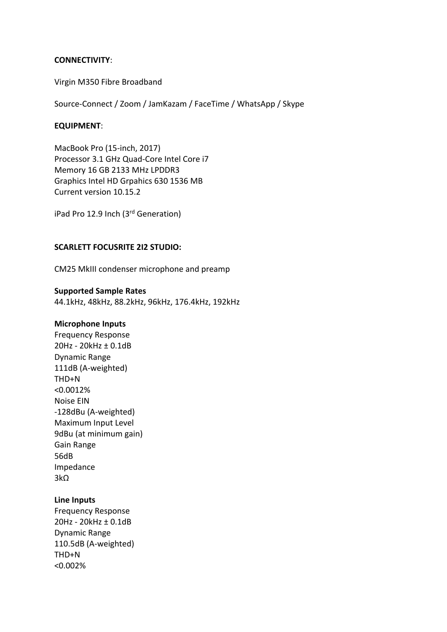# **CONNECTIVITY**:

Virgin M350 Fibre Broadband

Source-Connect / Zoom / JamKazam / FaceTime / WhatsApp / Skype

### **EQUIPMENT**:

MacBook Pro (15-inch, 2017) Processor 3.1 GHz Quad-Core Intel Core i7 Memory 16 GB 2133 MHz LPDDR3 Graphics Intel HD Grpahics 630 1536 MB Current version 10.15.2

iPad Pro 12.9 Inch (3rd Generation)

# **SCARLETT FOCUSRITE 2I2 STUDIO:**

CM25 MkIII condenser microphone and preamp

### **Supported Sample Rates**

44.1kHz, 48kHz, 88.2kHz, 96kHz, 176.4kHz, 192kHz

#### **Microphone Inputs**

Frequency Response 20Hz - 20kHz ± 0.1dB Dynamic Range 111dB (A-weighted) THD+N <0.0012% Noise EIN -128dBu (A-weighted) Maximum Input Level 9dBu (at minimum gain) Gain Range 56dB Impedance 3kΩ

# **Line Inputs**

Frequency Response 20Hz - 20kHz ± 0.1dB Dynamic Range 110.5dB (A-weighted) THD+N <0.002%